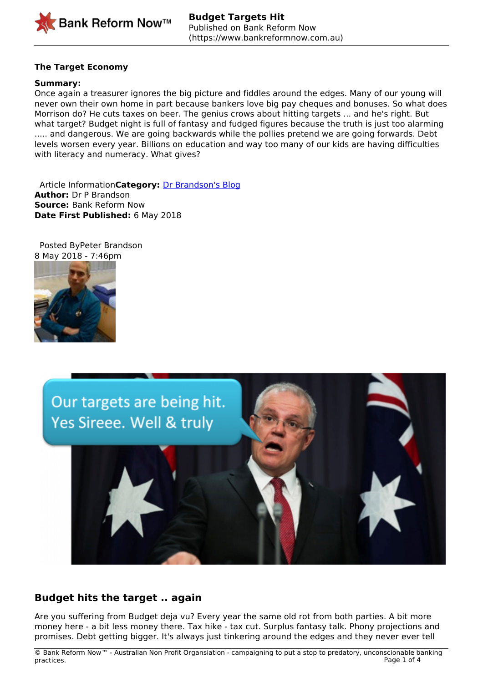

# **The Target Economy**

### **Summary:**

Once again a treasurer ignores the big picture and fiddles around the edges. Many of our young will never own their own home in part because bankers love big pay cheques and bonuses. So what does Morrison do? He cuts taxes on beer. The genius crows about hitting targets ... and he's right. But what target? Budget night is full of fantasy and fudged figures because the truth is just too alarming ..... and dangerous. We are going backwards while the pollies pretend we are going forwards. Debt levels worsen every year. Billions on education and way too many of our kids are having difficulties with literacy and numeracy. What gives?

 Article Information**Category:** [Dr Brandson's Blog](https://www.bankreformnow.com.au/taxonomy/term/23) **Author:** Dr P Brandson **Source:** Bank Reform Now **Date First Published:** 6 May 2018

 Posted ByPeter Brandson 8 May 2018 - 7:46pm





# **Budget hits the target .. again**

 Are you suffering from Budget deja vu? Every year the same old rot from both parties. A bit more money here - a bit less money there. Tax hike - tax cut. Surplus fantasy talk. Phony projections and promises. Debt getting bigger. It's always just tinkering around the edges and they never ever tell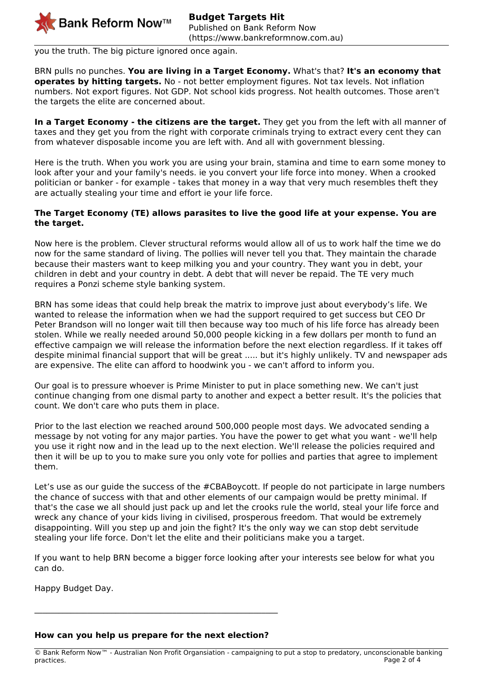

you the truth. The big picture ignored once again.

BRN pulls no punches. **You are living in a Target Economy.** What's that? **It's an economy that operates by hitting targets.** No - not better employment figures. Not tax levels. Not inflation numbers. Not export figures. Not GDP. Not school kids progress. Not health outcomes. Those aren't the targets the elite are concerned about.

**In a Target Economy - the citizens are the target.** They get you from the left with all manner of taxes and they get you from the right with corporate criminals trying to extract every cent they can from whatever disposable income you are left with. And all with government blessing.

Here is the truth. When you work you are using your brain, stamina and time to earn some money to look after your and your family's needs. ie you convert your life force into money. When a crooked politician or banker - for example - takes that money in a way that very much resembles theft they are actually stealing your time and effort ie your life force.

## **The Target Economy (TE) allows parasites to live the good life at your expense. You are the target.**

Now here is the problem. Clever structural reforms would allow all of us to work half the time we do now for the same standard of living. The pollies will never tell you that. They maintain the charade because their masters want to keep milking you and your country. They want you in debt, your children in debt and your country in debt. A debt that will never be repaid. The TE very much requires a Ponzi scheme style banking system.

BRN has some ideas that could help break the matrix to improve just about everybody's life. We wanted to release the information when we had the support required to get success but CEO Dr Peter Brandson will no longer wait till then because way too much of his life force has already been stolen. While we really needed around 50,000 people kicking in a few dollars per month to fund an effective campaign we will release the information before the next election regardless. If it takes off despite minimal financial support that will be great ..... but it's highly unlikely. TV and newspaper ads are expensive. The elite can afford to hoodwink you - we can't afford to inform you.

Our goal is to pressure whoever is Prime Minister to put in place something new. We can't just continue changing from one dismal party to another and expect a better result. It's the policies that count. We don't care who puts them in place.

Prior to the last election we reached around 500,000 people most days. We advocated sending a message by not voting for any major parties. You have the power to get what you want - we'll help you use it right now and in the lead up to the next election. We'll release the policies required and then it will be up to you to make sure you only vote for pollies and parties that agree to implement them.

Let's use as our quide the success of the #CBABoycott. If people do not participate in large numbers the chance of success with that and other elements of our campaign would be pretty minimal. If that's the case we all should just pack up and let the crooks rule the world, steal your life force and wreck any chance of your kids living in civilised, prosperous freedom. That would be extremely disappointing. Will you step up and join the fight? It's the only way we can stop debt servitude stealing your life force. Don't let the elite and their politicians make you a target.

If you want to help BRN become a bigger force looking after your interests see below for what you can do.

Happy Budget Day.

#### **How can you help us prepare for the next election?**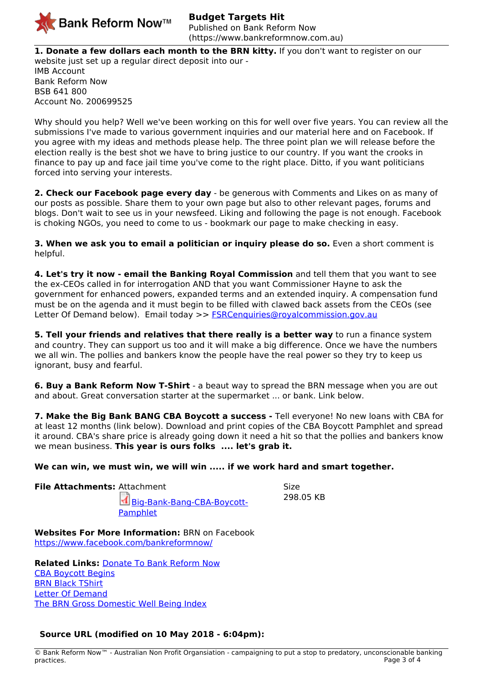

**1. Donate a few dollars each month to the BRN kitty.** If you don't want to register on our website just set up a regular direct deposit into our - IMB Account Bank Reform Now BSB 641 800 Account No. 200699525

Why should you help? Well we've been working on this for well over five years. You can review all the submissions I've made to various government inquiries and our material here and on Facebook. If you agree with my ideas and methods please help. The three point plan we will release before the election really is the best shot we have to bring justice to our country. If you want the crooks in finance to pay up and face jail time you've come to the right place. Ditto, if you want politicians forced into serving your interests.

**2. Check our Facebook page every day** - be generous with Comments and Likes on as many of our posts as possible. Share them to your own page but also to other relevant pages, forums and blogs. Don't wait to see us in your newsfeed. Liking and following the page is not enough. Facebook is choking NGOs, you need to come to us - bookmark our page to make checking in easy.

**3. When we ask you to email a politician or inquiry please do so.** Even a short comment is helpful.

**4. Let's try it now - email the Banking Royal Commission** and tell them that you want to see the ex-CEOs called in for interrogation AND that you want Commissioner Hayne to ask the government for enhanced powers, expanded terms and an extended inquiry. A compensation fund must be on the agenda and it must begin to be filled with clawed back assets from the CEOs (see Letter Of Demand below). Email today >> [FSRCenquiries@royalcommission.gov.au](mailto:FSRCenquiries@royalcommission.gov.au)

**5. Tell your friends and relatives that there really is a better way** to run a finance system and country. They can support us too and it will make a big difference. Once we have the numbers we all win. The pollies and bankers know the people have the real power so they try to keep us ignorant, busy and fearful.

**6. Buy a Bank Reform Now T-Shirt** - a beaut way to spread the BRN message when you are out and about. Great conversation starter at the supermarket ... or bank. Link below.

**7. Make the Big Bank BANG CBA Boycott a success -** Tell everyone! No new loans with CBA for at least 12 months (link below). Download and print copies of the CBA Boycott Pamphlet and spread it around. CBA's share price is already going down it need a hit so that the pollies and bankers know we mean business. **This year is ours folks .... let's grab it.**

**We can win, we must win, we will win ..... if we work hard and smart together.**

**File Attachments:** Attachment **Size** Size

[Big-Bank-Bang-CBA-Boycott-](https://www.bankreformnow.com.au/sites/default/files/article-docs/Big%20Bank%20Bang%20-%20CBA%20Boycott%20Pamphlet_0.pdf)**[Pamphlet](https://www.bankreformnow.com.au/sites/default/files/article-docs/Big%20Bank%20Bang%20-%20CBA%20Boycott%20Pamphlet_0.pdf)** 

298.05 KB

**Websites For More Information:** BRN on Facebook <https://www.facebook.com/bankreformnow/>

**Related Links:** [Donate To Bank Reform Now](https://www.bankreformnow.com.au/donate) [CBA Boycott Begins](https://www.bankreformnow.com.au/news/press-releases/cba-boycott-begins-0) **[BRN Black TShirt](https://www.bankreformnow.com.au/brn-shop/brn-black-tshirt)** [Letter Of Demand](https://www.bankreformnow.com.au/news/dr-brandsons-blog/letter-demand) [The BRN Gross Domestic Well Being Index](https://www.bankreformnow.com.au/news/dr-brandsons-blog/brn-gross-domestic-well-being-index)

# **Source URL (modified on 10 May 2018 - 6:04pm):**